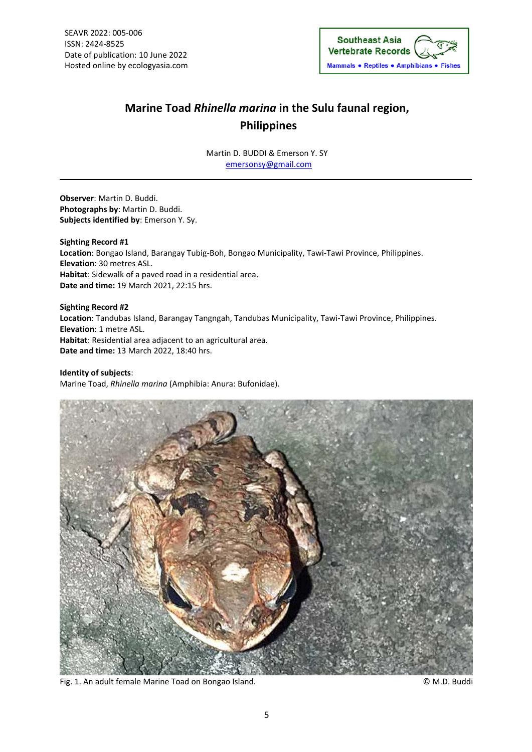

## **Marine Toad** *Rhinella marina* **in the Sulu faunal region, Philippines**

Martin D. BUDDI & Emerson Y. SY emersonsy@gmail.com

**Observer**: Martin D. Buddi. **Photographs by**: Martin D. Buddi. **Subjects identified by**: Emerson Y. Sy.

**Sighting Record #1 Location**: Bongao Island, Barangay Tubig‐Boh, Bongao Municipality, Tawi‐Tawi Province, Philippines. **Elevation**: 30 metres ASL. **Habitat**: Sidewalk of a paved road in a residential area. **Date and time:** 19 March 2021, 22:15 hrs.

**Sighting Record #2 Location**: Tandubas Island, Barangay Tangngah, Tandubas Municipality, Tawi‐Tawi Province, Philippines. **Elevation**: 1 metre ASL. **Habitat**: Residential area adjacent to an agricultural area. **Date and time:** 13 March 2022, 18:40 hrs.

**Identity of subjects**: Marine Toad, *Rhinella marina* (Amphibia: Anura: Bufonidae).



Fig. 1. An adult female Marine Toad on Bongao Island. © M.D. Buddi